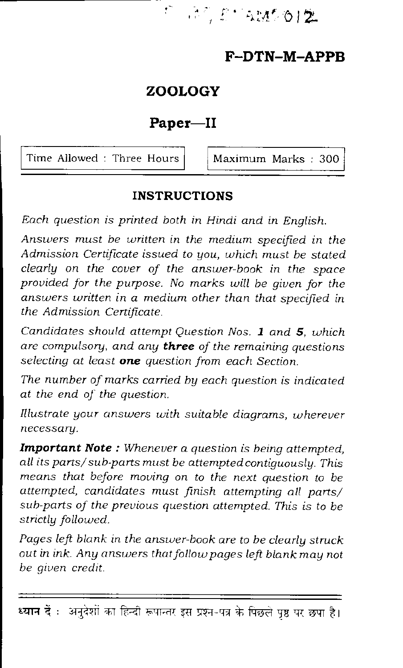M. 2' WA 012

# **F—DTN—M—APPB**

# **ZOOLOGY**

 $\mathfrak{g}^{\bullet}$ 

# **Paper—II**

Time Allowed : Three Hours  $\vert$  Maximum Marks : 300

### **INSTRUCTIONS**

*Each question is printed both in Hindi and in English.* 

*Answers must be written in the medium specified in the Admission Certificate issued to you, which must be stated clearly on the cover of the answer-book in the space provided for the purpose. No marks will be given for the answers written in a medium other than that specified in the Admission Certificate.* 

*Candidates should attempt Question Nos. 1 and 5, which are compulsory, and* any *three of the remaining questions selecting at least one question from each Section.* 

*The number of marks carried by each question is indicated at the end of the question.* 

*Illustrate your answers with suitable diagrams, wherever necessary.* 

*Important Note : Whenever a question is being attempted, all its parts/sub-parts must be attempted contiguously. This means that before moving on to the next question to be attempted, candidates must finish attempting all parts/ sub-parts of the previous question attempted. This is to be strictly followed.* 

*Pages left blank in the answer-book are to be clearly struck out in ink. Any answers that follow pages left blank may not be given credit.* 

<sup>821</sup>न दें : अनुदेशों का हिन्दी रूपान्तर इस प्रश्न-पत्र के पिछले पृष्ठ पर छपा है।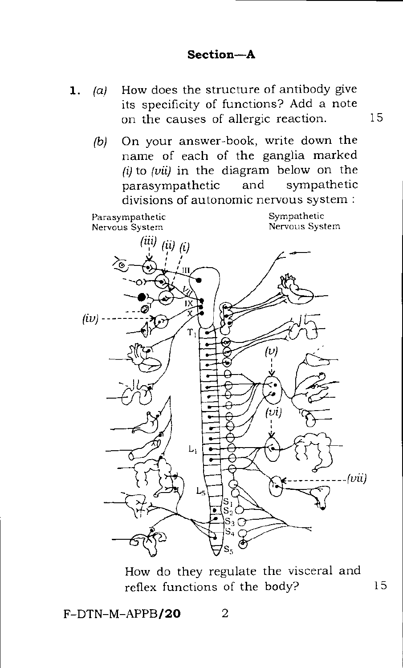- **1.** (a) How does the structure of antibody give its specificity of functions? Add a note on the causes of allergic reaction. 15
	- *(b)* On your answer-book, write down the name of each of the ganglia marked *(i)* to *(vii)* in the diagram below on the parasympathetic and sympathetic divisions of autonomic nervous system :



How do they regulate the visceral and reflex functions of the body? 15

 $F-DTN-M-APPB/20$  2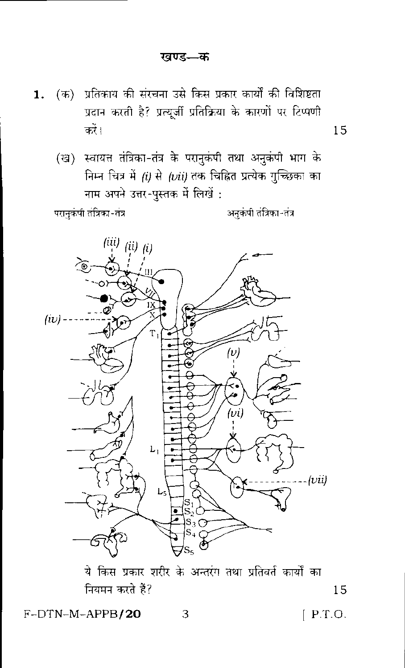- (क) प्रतिकाय की संरचना उसे किस प्रकार कार्यों की विशिष्टता  $1.$ प्रदान करती है? प्रत्युर्जी प्रतिक्रिया के कारणों पर टिप्पणी करें।
	- (ख) स्वायत्त तंत्रिका-तंत्र के परानुकंपी तथा अनुकंपी भाग के निम्न चित्र में *(i)* से *(vii)* तक चिह्नित प्रत्येक गुच्छिका का नाम अपने उत्तर-पुस्तक में लिखें:

परानुकंपी तंत्रिका-तंत्र

अनुकंपी तंत्रिका-तंत्र

15



ये किस प्रकार शरीर के अन्तरंग तथा प्रतिवर्त कार्यों का नियमन करते हैं?

F-DTN-M-APPB/20

 $[$  P.T.O.

15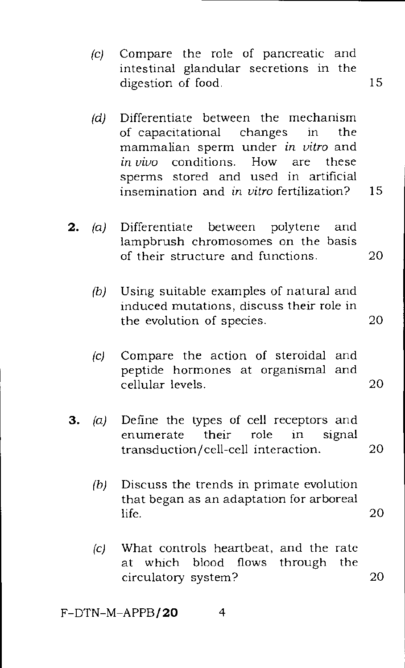- (c) Compare the role of pancreatic and intestinal glandular secretions in the digestion of food. 15
- (d) Differentiate between the mechanism of capacitational changes in the mammalian sperm under *in vitro* and *in vivo* conditions. How are these sperms stored and used in artificial insemination and in *vitro* fertilization? 15
- 2. (a) Differentiate between polytene and lampbrush chromosomes on the basis of their structure and functions. 20
	- (b) Using suitable examples of natural and induced mutations, discuss their role in the evolution of species. 20
	- (c) Compare the action of steroidal and peptide hormones at organismal and cellular levels. 20
- 3. (a) Define the types of cell receptors and enumerate their role in signal transduction/cell-cell interaction. 20
	- (b) Discuss the trends in primate evolution that began as an adaptation for arboreal  $\text{life.}$  20
	- (c) What controls heartbeat, and the rate<br>at which blood flows through the at which blood flows circulatory system? 20

 $F-DTN-M-APPB/20$  4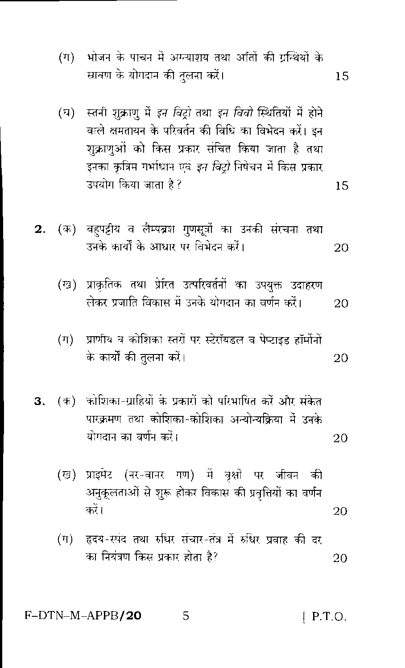- भोजन के पाचन में अग्न्याशय तथा आँतों की ग्रन्थियों के  $(\pi)$ स्रावण के योगदान की तुलना करें। 15
- (घ) स्तनी शुक्राणु में इन विट्रो तथा इन विवो स्थितियों में होने वाले क्षमतायन के परिवर्तन की विधि का विभेदन करें। इन शुक्राणुओं को किस प्रकार संचित किया जाता है तथा इनका कृत्रिम गर्भाधान एवं *इन विट्रो* निषेचन में किस प्रकार उपयोग किया जाता है ?

15

- (क) बहपट्टीय व लैम्पब्रश गुणसूत्रों का उनकी संरचना तथा  $2.$ उनके कार्यों के आधार पर विभेदन करें। 20
	- (ख) प्राकृतिक तथा प्रेरित उत्परिवर्तनों का उपयुक्त उदाहरण लेकर प्रजाति विकास में उनके योगदान का वर्णन करें। 20
	- (ग) प्राणीय व कोशिका स्तरों पर स्टेरॉयडल व पेप्टाइड हॉर्मोनों के कार्यों की तुलना करें। 20
- 3. (क) कोशिका-ग्राहियों के प्रकारों को परिभाषित करें और संकेत पारक्रमण तथा कोशिका-कोशिका अन्योन्यक्रिया में उनके योगदान का वर्णन करें। 20
	- (ख) प्राइमेट (नर-बानर गण) में वृक्षों पर जीवन की अनुकूलताओं से शुरू होकर विकास की प्रवृत्तियों का वर्णन कों। 20
	- हृदय-स्पंद तथा रुधिर संचार-तंत्र में रुधिर प्रवाह की दर  $(\mathbb{T})$ का नियंत्रण किस प्रकार होता है? 20

F-DTN-M-APPB/20 5  $[$  P.T.O.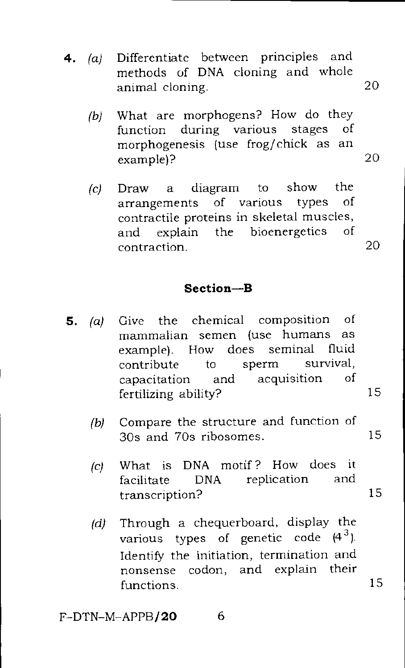- **4.** (a) Differentiate between principles and methods of DNA cloning and whole animal cloning. 20
	- (b) What are morphogens? How do they function during various stages of morphogenesis (use frog/chick as an example)? 20
	- (c) Draw a diagram to show the Draw a diagram to show the<br>arrangements of various types of contractile proteins in skeletal muscles, and explain the bioenergetics of contraction. 20

### **Section—B**

- **5.** (a) Give the chemical composition of mammalian semen (use humans as semen (use humans as<br>ow does seminal fluid example). How does contribute to sperm survival, capacitation and acquisition of fertilizing ability? 15
	- (b) Compare the structure and function of 30s and 70s ribosomes. 15
	- (c) What is DNA motif? How does it<br>facilitate DNA replication and facilitate DNA replication transcription? 15
	- (d) Through a chequerboard, display the various types of genetic code  $(4^3)$ . Identify the initiation, termination and nonsense codon, and explain their functions. 15

F-DTN-M-APPB/ **20** 6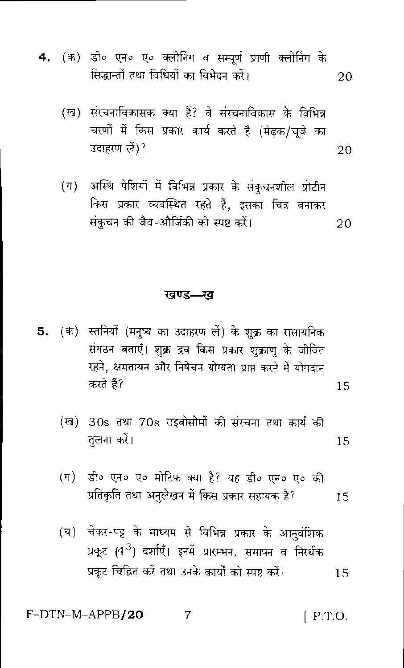- 4. (क) डी० एन० ए० क्लोनिंग व सम्पूर्ण प्राणी क्लोनिंग के सिद्धान्तों तथा विधियों का विभेदन करें। 20
	- (ख) संरचनाविकासक क्या हैं? वे संरचनाविकास के विभिन्न चरणों में किस प्रकार कार्य करते हैं (मेढक/चजे का उदाहरण लें)? 20
	- (ग) अस्थि पेशियों में विभिन्न प्रकार के संकुचनशील प्रोटीन किस प्रकार व्यवस्थित रहते हैं, इसका चित्र बनाकर संकुचन की जैव-और्जिकी को स्पष्ट करें। 20

#### खण्ड—ख

- 5. (क) स्तनियों (मनुष्य का उदाहरण लें) के शुक्र का रासायनिक संगठन बताएँ। शुक्र द्रव किस प्रकार शुक्राण के जीवित रहने, क्षमतायन और निषेचन योग्यता प्राप्त करने में योगदान करते हैं? 15
	- (ख) 30s तथा 70s राइबोसोमों की संरचना तथा कार्य की तलना करें। 15
	- डी० एन० ए० मोटिफ क्या है? यह डी० एन० ए० की  $(\pi)$ प्रतिकृति तथा अनुलेखन में किस प्रकार सहायक है? 15
	- चेकर-पट्ट के माध्यम से विभिन्न प्रकार के आनुवंशिक  $(\overline{v})$ प्रकट (4<sup>3</sup>) दर्शाएँ। इनमें प्रारम्भन, समापन व निरर्थक प्रकट चिह्नित करें तथा उनके कार्यों को स्पष्ट करें। 15

F-DTN-M-APPB/20  $\overline{7}$  $[$  P.T.O.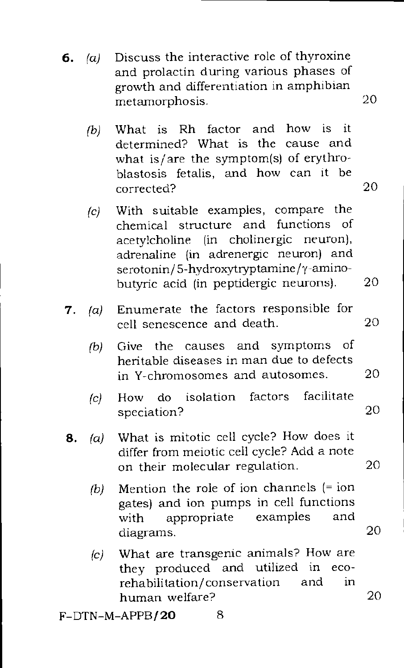- **6.** (a) Discuss the interactive role of thyroxine and prolactin during various phases of growth and differentiation in amphibian metamorphosis. 20
	- (b) What is Rh factor and how is it determined? What is the cause and what is/are the symptom(s) of erythroblastosis fetalis, and how can it be corrected? 20
	- (c) With suitable examples, compare the chemical structure and functions of acetylcholine (in cholinergic neuron), adrenaline (in adrenergic neuron) and serotonin/5-hydroxytryptamine/y-aminobutyric acid (in peptidergic neurons). 20
- **7.** (a) Enumerate the factors responsible for cell senescence and death. 20
	- (b) Give the causes and symptoms of heritable diseases in man due to defects in Y-chromosomes and autosomes. 20
	- (c) How do isolation factors facilitate speciation? 20
- **8.** (a) What is mitotic cell cycle? How does it differ from meiotic cell cycle? Add a note on their molecular regulation. 20
	- (b) Mention the role of ion channels (= ion gates) and ion pumps in cell functions with appropriate examples and diagrams. 20
	- $(c)$  What are transgenic animals? How are<br>they produced and utilized in ecothey produced and utilized in rehabilitation/ conservation and in human welfare? 20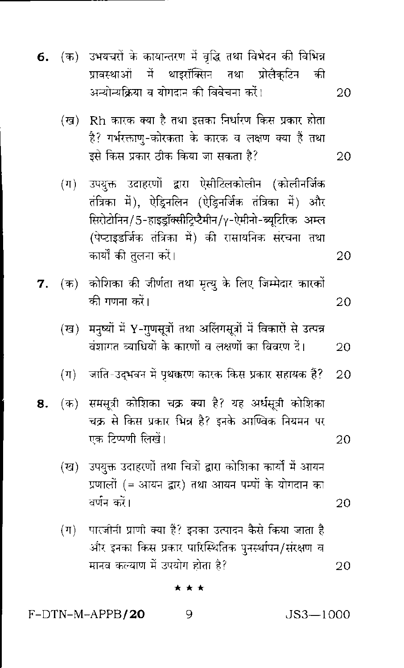- उभयचरों के कायान्तरण में वृद्धि तथा विभेदन की विभिन्न (क) 6. प्रावस्थाओं में थाइरॉक्सिन तथा प्रोलैकटिन की अन्योन्यक्रिया व योगदान की विवेचना करें। 20
	- . Rh कारक क्या है तथा इसका निर्धारण किस प्रकार होता (দ্র) है? गर्भरक्ताण-कोरकता के कारक व लक्षण क्या है तथा डसे किस प्रकार ठीक किया जा सकता है? 20
	- उपयुक्त उदाहरणों द्वारा ऐसीटिलकोलीन (कोलीनर्जिक  $(\pi)$ तंत्रिका में), ऐड़िनलिन (ऐड़िनर्जिक तंत्रिका में) और सिरोटोनिन/5-हाइडॉक्सीटिप्टैमीन/γ-ऐमीनो-ब्युटिरिक अम्ल (पेप्टाइडर्जिक तंत्रिका में) की रासायनिक संरचना तथा कार्यों की तुलना करें।
- कोशिका की जीर्णता तथा मृत्यू के लिए जिम्मेदार कारकों  $(\overline{4})$ 7. की गणना करें। 20
	- मनुष्यों में Y-गुणसूत्रों तथा अलिंगसूत्रों में विकारों से उत्पन्न (ख) वंशागत व्याधियों के कारणों व लक्षणों का विवरण दें। 20
	- जाति-उद्भवन में पृथक्करण कारक किस प्रकार सहायक हैं?  $(\pi)$ 20
- समसूत्री कोशिका चक्र क्या है? यह अर्धसूत्री कोशिका 8. (ক) चक्र से किस प्रकार भिन्न है? इनके आण्विक नियमन पर एक टिप्पणी लिखें। 20
	- (ख) उपयुक्त उदाहरणों तथा चित्रों द्वारा कोशिका कार्यों में आयन प्रणालों (= आयन द्वार) तथा आयन पम्पों के योगदान का वर्णन करें।
	- पारजीनी प्राणी क्या हैं? इनका उत्पादन कैसे किया जाता है  $(\Pi)$ और इनका किस प्रकार पारिस्थितिक पुनर्स्थापन/संरक्षण व मानव कल्याण में उपयोग होता है? 20

\* \* \*

9

F-DTN-M-APPB/20

 $JS3 - 1000$ 

20

20